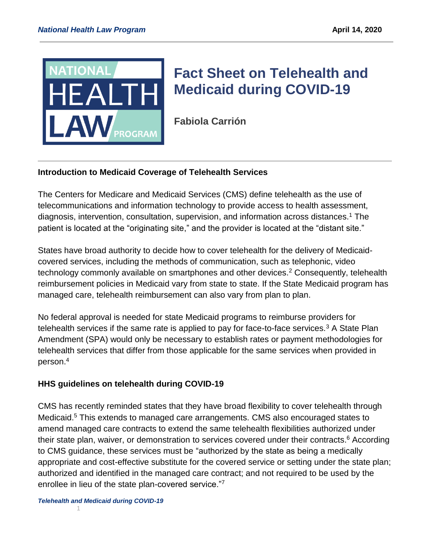

# **[Fact](https://healthlaw.org/resource/amicus-brief-in-support-of-marylands-anti-price-gouging-law-for-prescription-drugs/) Sheet on Telehealth and Medicaid during COVID-19**

**Fabiola Carrión**

# **Introduction to Medicaid Coverage of Telehealth Services**

The Centers for Medicare and Medicaid Services (CMS) define telehealth as the use of telecommunications and information technology to provide access to health assessment, diagnosis, intervention, consultation, supervision, and information across distances.<sup>1</sup> The patient is located at the "originating site," and the provider is located at the "distant site."

States have broad authority to decide how to cover telehealth for the delivery of Medicaidcovered services, including the methods of communication, such as telephonic, video technology commonly available on smartphones and other devices.<sup>2</sup> Consequently, telehealth reimbursement policies in Medicaid vary from state to state. If the State Medicaid program has managed care, telehealth reimbursement can also vary from plan to plan.

No federal approval is needed for state Medicaid programs to reimburse providers for telehealth services if the same rate is applied to pay for face-to-face services.<sup>3</sup> A State Plan Amendment (SPA) would only be necessary to establish rates or payment methodologies for telehealth services that differ from those applicable for the same services when provided in person. 4

# **HHS guidelines on telehealth during COVID-19**

CMS has recently reminded states that they have broad flexibility to cover telehealth through Medicaid.<sup>5</sup> This extends to managed care arrangements. CMS also encouraged states to amend managed care contracts to extend the same telehealth flexibilities authorized under their state plan, waiver, or demonstration to services covered under their contracts.<sup>6</sup> According to CMS guidance, these services must be "authorized by the state as being a medically appropriate and cost-effective substitute for the covered service or setting under the state plan; authorized and identified in the managed care contract; and not required to be used by the enrollee in lieu of the state plan-covered service."<sup>7</sup>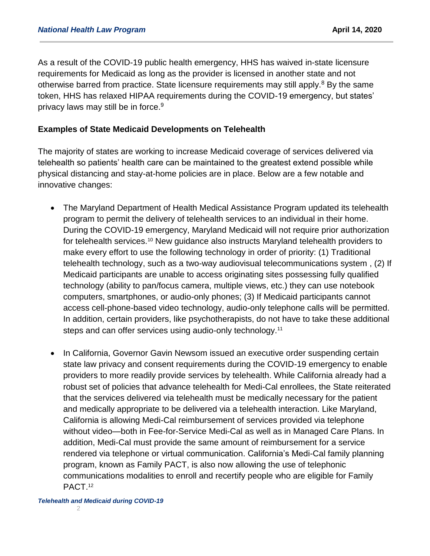As a result of the COVID-19 public health emergency, HHS has waived in-state licensure requirements for Medicaid as long as the provider is licensed in another state and not otherwise barred from practice. State licensure requirements may still apply.<sup>8</sup> By the same token, HHS has relaxed HIPAA requirements during the COVID-19 emergency, but states' privacy laws may still be in force.<sup>9</sup>

#### **Examples of State Medicaid Developments on Telehealth**

The majority of states are working to increase Medicaid coverage of services delivered via telehealth so patients' health care can be maintained to the greatest extend possible while physical distancing and stay-at-home policies are in place. Below are a few notable and innovative changes:

- The Maryland Department of Health Medical Assistance Program updated its telehealth program to permit the delivery of telehealth services to an individual in their home. During the COVID-19 emergency, Maryland Medicaid will not require prior authorization for telehealth services.<sup>10</sup> New guidance also instructs Maryland telehealth providers to make every effort to use the following technology in order of priority: (1) Traditional telehealth technology, such as a two-way audiovisual telecommunications system , (2) If Medicaid participants are unable to access originating sites possessing fully qualified technology (ability to pan/focus camera, multiple views, etc.) they can use notebook computers, smartphones, or audio-only phones; (3) If Medicaid participants cannot access cell-phone-based video technology, audio-only telephone calls will be permitted. In addition, certain providers, like psychotherapists, do not have to take these additional steps and can offer services using audio-only technology.<sup>11</sup>
- In California, Governor Gavin Newsom issued an executive order suspending certain state law privacy and consent requirements during the COVID-19 emergency to enable providers to more readily provide services by telehealth. While California already had a robust set of policies that advance telehealth for Medi-Cal enrollees, the State reiterated that the services delivered via telehealth must be medically necessary for the patient and medically appropriate to be delivered via a telehealth interaction. Like Maryland, California is allowing Medi-Cal reimbursement of services provided via telephone without video—both in Fee-for-Service Medi-Cal as well as in Managed Care Plans. In addition, Medi-Cal must provide the same amount of reimbursement for a service rendered via telephone or virtual communication. California's Medi-Cal family planning program, known as Family PACT, is also now allowing the use of telephonic communications modalities to enroll and recertify people who are eligible for Family PACT.<sup>12</sup>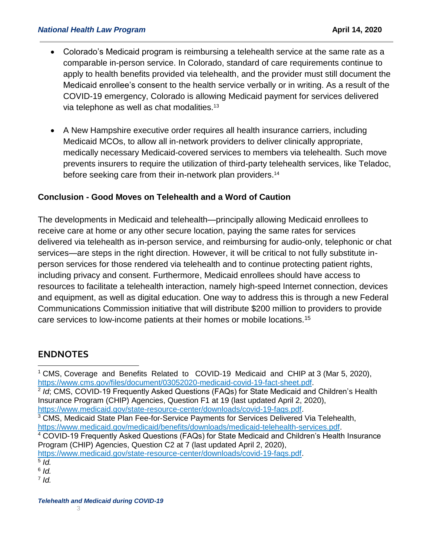- Colorado's Medicaid program is reimbursing a telehealth service at the same rate as a comparable in-person service. In Colorado, standard of care requirements continue to apply to health benefits provided via telehealth, and the provider must still document the Medicaid enrollee's consent to the health service verbally or in writing. As a result of the COVID-19 emergency, Colorado is allowing Medicaid payment for services delivered via telephone as well as chat modalities. $13$
- A New Hampshire executive order requires all health insurance carriers, including Medicaid MCOs, to allow all in-network providers to deliver clinically appropriate, medically necessary Medicaid-covered services to members via telehealth. Such move prevents insurers to require the utilization of third-party telehealth services, like Teladoc, before seeking care from their in-network plan providers.<sup>14</sup>

# **Conclusion - Good Moves on Telehealth and a Word of Caution**

The developments in Medicaid and telehealth—principally allowing Medicaid enrollees to receive care at home or any other secure location, paying the same rates for services delivered via telehealth as in-person service, and reimbursing for audio-only, telephonic or chat services—are steps in the right direction. However, it will be critical to not fully substitute inperson services for those rendered via telehealth and to continue protecting patient rights, including privacy and consent. Furthermore, Medicaid enrollees should have access to resources to facilitate a telehealth interaction, namely high-speed Internet connection, devices and equipment, as well as digital education. One way to address this is through a new Federal Communications Commission initiative that will distribute \$200 million to providers to provide care services to low-income patients at their homes or mobile locations.<sup>15</sup>

# **ENDNOTES**

<sup>2</sup> Id; CMS, COVID-19 Frequently Asked Questions (FAQs) for State Medicaid and Children's Health Insurance Program (CHIP) Agencies, Question F1 at 19 (last updated April 2, 2020), [https://www.medicaid.gov/state-resource-center/downloads/covid-19-faqs.pdf.](https://www.medicaid.gov/state-resource-center/downloads/covid-19-faqs.pdf)

- <sup>3</sup> CMS, Medicaid State Plan Fee-for-Service Payments for Services Delivered Via Telehealth,
- [https://www.medicaid.gov/medicaid/benefits/downloads/medicaid-telehealth-services.pdf.](https://www.medicaid.gov/medicaid/benefits/downloads/medicaid-telehealth-services.pdf)

<sup>4</sup> COVID-19 Frequently Asked Questions (FAQs) for State Medicaid and Children's Health Insurance Program (CHIP) Agencies, Question C2 at 7 (last updated April 2, 2020),

[https://www.medicaid.gov/state-resource-center/downloads/covid-19-faqs.pdf.](https://www.medicaid.gov/state-resource-center/downloads/covid-19-faqs.pdf)

 $\overline{a}$ 

6 *Id.*

7 *Id.* 

<sup>1</sup> CMS, Coverage and Benefits Related to COVID-19 Medicaid and CHIP at 3 (Mar 5, 2020), [https://www.cms.gov/files/document/03052020-medicaid-covid-19-fact-sheet.pdf.](https://www.cms.gov/files/document/03052020-medicaid-covid-19-fact-sheet.pdf)

<sup>5</sup> *Id.*